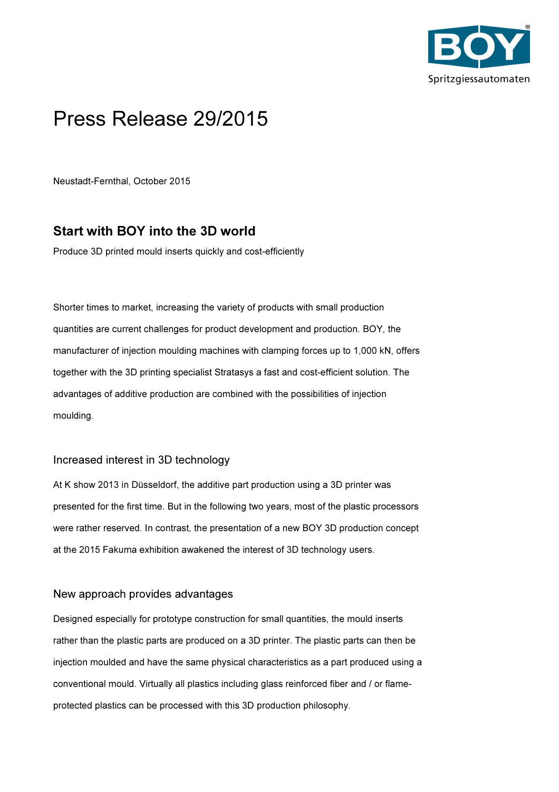

# Press Release 29/2015

Neustadt-Fernthal, October 2015

## Start with BOY into the 3D world

Produce 3D printed mould inserts quickly and cost-efficiently

Shorter times to market, increasing the variety of products with small production quantities are current challenges for product development and production. BOY, the manufacturer of injection moulding machines with clamping forces up to 1,000 kN, offers together with the 3D printing specialist Stratasys a fast and cost-efficient solution. The advantages of additive production are combined with the possibilities of injection moulding.

### Increased interest in 3D technology

At K show 2013 in Düsseldorf, the additive part production using a 3D printer was presented for the first time. But in the following two years, most of the plastic processors were rather reserved. In contrast, the presentation of a new BOY 3D production concept at the 2015 Fakuma exhibition awakened the interest of 3D technology users.

#### New approach provides advantages

Designed especially for prototype construction for small quantities, the mould inserts rather than the plastic parts are produced on a 3D printer. The plastic parts can then be injection moulded and have the same physical characteristics as a part produced using a conventional mould. Virtually all plastics including glass reinforced fiber and / or flameprotected plastics can be processed with this 3D production philosophy.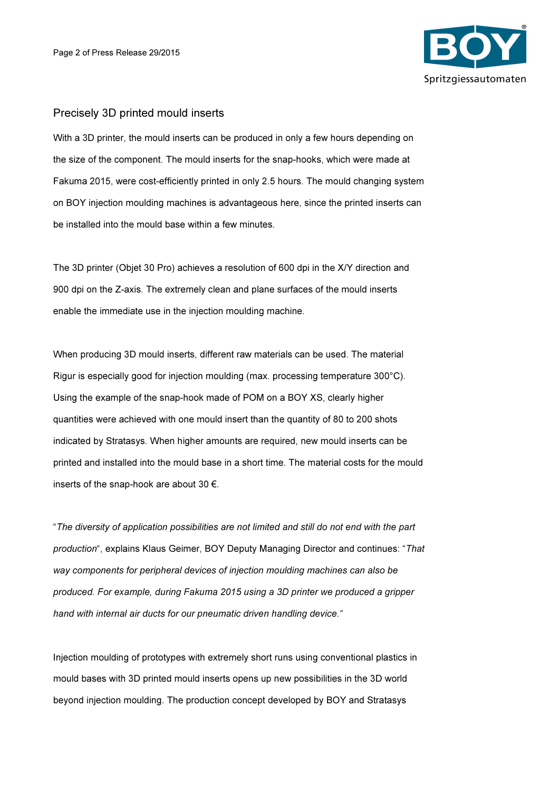

#### Precisely 3D printed mould inserts

With a 3D printer, the mould inserts can be produced in only a few hours depending on the size of the component. The mould inserts for the snap-hooks, which were made at Fakuma 2015, were cost-efficiently printed in only 2.5 hours. The mould changing system on BOY injection moulding machines is advantageous here, since the printed inserts can be installed into the mould base within a few minutes.

The 3D printer (Objet 30 Pro) achieves a resolution of 600 dpi in the X/Y direction and 900 dpi on the Z-axis. The extremely clean and plane surfaces of the mould inserts enable the immediate use in the injection moulding machine.

When producing 3D mould inserts, different raw materials can be used. The material Rigur is especially good for injection moulding (max. processing temperature 300°C). Using the example of the snap-hook made of POM on a BOY XS, clearly higher quantities were achieved with one mould insert than the quantity of 80 to 200 shots indicated by Stratasys. When higher amounts are required, new mould inserts can be printed and installed into the mould base in a short time. The material costs for the mould inserts of the snap-hook are about 30 €.

"The diversity of application possibilities are not limited and still do not end with the part production", explains Klaus Geimer, BOY Deputy Managing Director and continues: "That way components for peripheral devices of injection moulding machines can also be produced. For example, during Fakuma 2015 using a 3D printer we produced a gripper hand with internal air ducts for our pneumatic driven handling device."

Injection moulding of prototypes with extremely short runs using conventional plastics in mould bases with 3D printed mould inserts opens up new possibilities in the 3D world beyond injection moulding. The production concept developed by BOY and Stratasys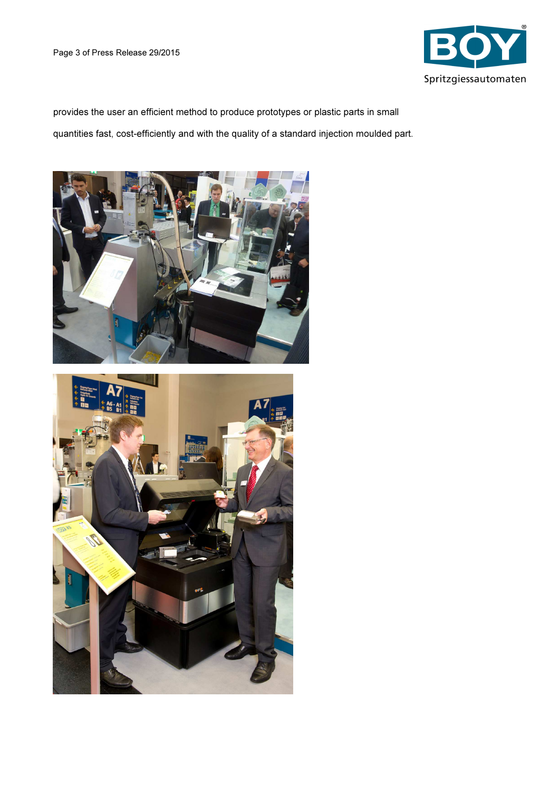

provides the user an efficient method to produce prototypes or plastic parts in small quantities fast, cost-efficiently and with the quality of a standard injection moulded part.